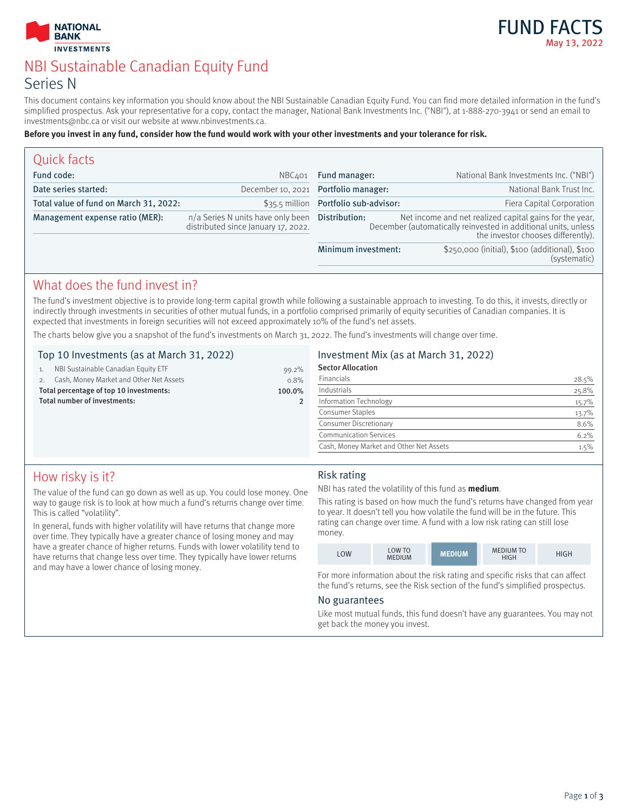



# NBI Sustainable Canadian Equity Fund Series N

This document contains key information you should know about the NBI Sustainable Canadian Equity Fund. You can find more detailed information in the fund's simplified prospectus. Ask your representative for a copy, contact the manager, National Bank Investments Inc. ("NBI"), at 1-888-270-3941 or send an email to investments@nbc.ca or visit our website at www.nbinvestments.ca.

#### **Before you invest in any fund, consider how the fund would work with your other investments and your tolerance for risk.**

| NBC401                                                                   | Fund manager:                                                                                                                                                                    | National Bank Investments Inc. ("NBI")                         |
|--------------------------------------------------------------------------|----------------------------------------------------------------------------------------------------------------------------------------------------------------------------------|----------------------------------------------------------------|
| December 10, 2021                                                        |                                                                                                                                                                                  | National Bank Trust Inc.                                       |
|                                                                          |                                                                                                                                                                                  | Fiera Capital Corporation                                      |
| n/a Series N units have only been<br>distributed since January 17, 2022. | Net income and net realized capital gains for the year,<br>Distribution:<br>December (automatically reinvested in additional units, unless<br>the investor chooses differently). |                                                                |
|                                                                          | Minimum investment:                                                                                                                                                              | \$250,000 (initial), \$100 (additional), \$100<br>(systematic) |
|                                                                          |                                                                                                                                                                                  | Portfolio manager:<br>\$35.5 million Portfolio sub-advisor:    |

## What does the fund invest in?

The fund's investment objective is to provide long-term capital growth while following a sustainable approach to investing. To do this, it invests, directly or indirectly through investments in securities of other mutual funds, in a portfolio comprised primarily of equity securities of Canadian companies. It is expected that investments in foreign securities will not exceed approximately 10% of the fund's net assets.

The charts below give you a snapshot of the fund's investments on March 31, 2022. The fund's investments will change over time.

#### Top 10 Investments (as at March 31, 2022)

|                                                   | NBI Sustainable Canadian Equity ETF     | 99.2% |
|---------------------------------------------------|-----------------------------------------|-------|
|                                                   | Cash, Money Market and Other Net Assets | 0.8%  |
| Total percentage of top 10 investments:<br>100.0% |                                         |       |
| Total number of investments:                      |                                         |       |
|                                                   |                                         |       |

### Investment Mix (as at March 31, 2022)

| <b>Sector Allocation</b>                |       |
|-----------------------------------------|-------|
| Financials                              | 28.5% |
| Industrials                             | 25.8% |
| Information Technology                  | 15.7% |
| Consumer Staples                        | 13.7% |
| Consumer Discretionary                  | 8.6%  |
| <b>Communication Services</b>           | 6.2%  |
| Cash, Money Market and Other Net Assets | 1.5%  |
|                                         |       |

# How risky is it?

The value of the fund can go down as well as up. You could lose money. One way to gauge risk is to look at how much a fund's returns change over time. This is called "volatility".

In general, funds with higher volatility will have returns that change more over time. They typically have a greater chance of losing money and may have a greater chance of higher returns. Funds with lower volatility tend to have returns that change less over time. They typically have lower returns and may have a lower chance of losing money.

#### Risk rating

NBI has rated the volatility of this fund as **medium**.

This rating is based on how much the fund's returns have changed from year to year. It doesn't tell you how volatile the fund will be in the future. This rating can change over time. A fund with a low risk rating can still lose money.

| LOW | <b>LOW TO</b><br><b>MEDIUM</b> | <b>MEDIUM</b> | <b>MEDIUM TO</b><br><b>HIGH</b> | HIGH |
|-----|--------------------------------|---------------|---------------------------------|------|
|-----|--------------------------------|---------------|---------------------------------|------|

For more information about the risk rating and specific risks that can affect the fund's returns, see the Risk section of the fund's simplified prospectus.

#### No guarantees

Like most mutual funds, this fund doesn't have any guarantees. You may not get back the money you invest.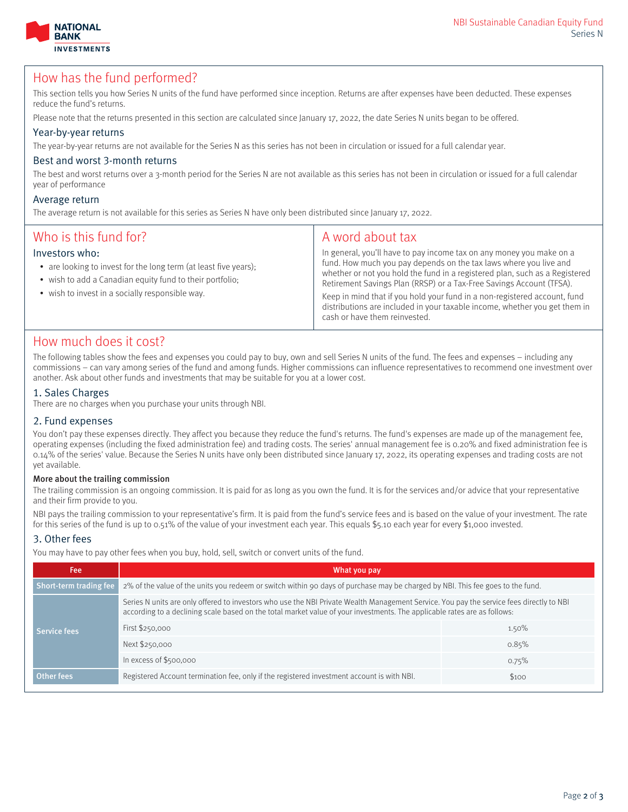



### How has the fund performed?

This section tells you how Series N units of the fund have performed since inception. Returns are after expenses have been deducted. These expenses reduce the fund's returns.

Please note that the returns presented in this section are calculated since January 17, 2022, the date Series N units began to be offered.

#### Year-by-year returns

The year-by-year returns are not available for the Series N as this series has not been in circulation or issued for a full calendar year.

#### Best and worst 3-month returns

The best and worst returns over a 3-month period for the Series N are not available as this series has not been in circulation or issued for a full calendar year of performance

#### Average return

The average return is not available for this series as Series N have only been distributed since January 17, 2022.

| Who is this fund for?<br>Investors who:<br>• are looking to invest for the long term (at least five years);<br>• wish to add a Canadian equity fund to their portfolio;<br>• wish to invest in a socially responsible way. | A word about tax<br>In general, you'll have to pay income tax on any money you make on a<br>fund. How much you pay depends on the tax laws where you live and<br>whether or not you hold the fund in a registered plan, such as a Registered<br>Retirement Savings Plan (RRSP) or a Tax-Free Savings Account (TFSA).<br>Keep in mind that if you hold your fund in a non-registered account, fund<br>distributions are included in your taxable income, whether you get them in<br>cash or have them reinvested. |
|----------------------------------------------------------------------------------------------------------------------------------------------------------------------------------------------------------------------------|------------------------------------------------------------------------------------------------------------------------------------------------------------------------------------------------------------------------------------------------------------------------------------------------------------------------------------------------------------------------------------------------------------------------------------------------------------------------------------------------------------------|
|                                                                                                                                                                                                                            |                                                                                                                                                                                                                                                                                                                                                                                                                                                                                                                  |

### How much does it cost?

The following tables show the fees and expenses you could pay to buy, own and sell Series N units of the fund. The fees and expenses – including any commissions – can vary among series of the fund and among funds. Higher commissions can influence representatives to recommend one investment over another. Ask about other funds and investments that may be suitable for you at a lower cost.

#### 1. Sales Charges

There are no charges when you purchase your units through NBI.

#### 2. Fund expenses

You don't pay these expenses directly. They affect you because they reduce the fund's returns. The fund's expenses are made up of the management fee, operating expenses (including the fixed administration fee) and trading costs. The series' annual management fee is 0.20% and fixed administration fee is 0.14% of the series' value. Because the Series N units have only been distributed since January 17, 2022, its operating expenses and trading costs are not yet available.

#### More about the trailing commission

The trailing commission is an ongoing commission. It is paid for as long as you own the fund. It is for the services and/or advice that your representative and their firm provide to you.

NBI pays the trailing commission to your representative's firm. It is paid from the fund's service fees and is based on the value of your investment. The rate for this series of the fund is up to 0.51% of the value of your investment each year. This equals \$5.10 each year for every \$1,000 invested.

#### 3. Other fees

You may have to pay other fees when you buy, hold, sell, switch or convert units of the fund.

| Fee                    | What you pay                                                                                                                                                                                                                                                         |       |  |
|------------------------|----------------------------------------------------------------------------------------------------------------------------------------------------------------------------------------------------------------------------------------------------------------------|-------|--|
| Short-term trading fee | 2% of the value of the units you redeem or switch within 90 days of purchase may be charged by NBI. This fee goes to the fund.                                                                                                                                       |       |  |
| Service fees           | Series N units are only offered to investors who use the NBI Private Wealth Management Service. You pay the service fees directly to NBI<br>according to a declining scale based on the total market value of your investments. The applicable rates are as follows: |       |  |
|                        | First \$250,000                                                                                                                                                                                                                                                      | 1.50% |  |
|                        | Next \$250,000                                                                                                                                                                                                                                                       | 0.85% |  |
|                        | In excess of $$500,000$                                                                                                                                                                                                                                              | 0.75% |  |
| Other fees             | Registered Account termination fee, only if the registered investment account is with NBI.                                                                                                                                                                           | \$100 |  |